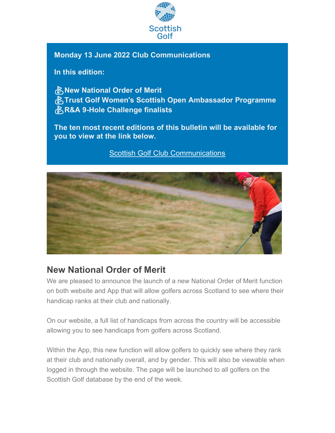

### **Monday 13 June 2022 Club Communications**

**In this edition:**

⛳**New National Order of Merit** ⛳**Trust Golf Women's Scottish Open Ambassador Programme** ⛳**R&A 9-Hole Challenge finalists**

**The ten most recent editions of this bulletin will be available for you to view at the link below.**

[Scottish Golf Club Communications](https://scottishgolf.us4.list-manage.com/track/click?u=9c32e12ea21cc19e8cd8c1f75&id=9bb677fca0&e=196ecfd959)



## **New National Order of Merit**

We are pleased to announce the launch of a new National Order of Merit function on both website and App that will allow golfers across Scotland to see where their handicap ranks at their club and nationally.

On our website, a full list of handicaps from across the country will be accessible allowing you to see handicaps from golfers across Scotland.

Within the App, this new function will allow golfers to quickly see where they rank at their club and nationally overall, and by gender. This will also be viewable when logged in through the website. The page will be launched to all golfers on the Scottish Golf database by the end of the week.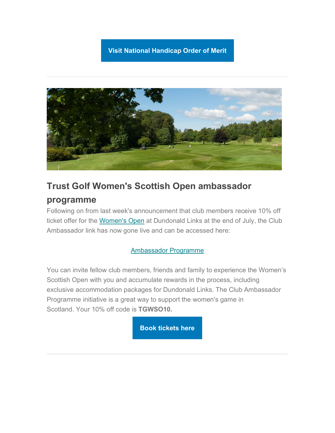### **[Visit National Handicap Order of Merit](https://scottishgolf.us4.list-manage.com/track/click?u=9c32e12ea21cc19e8cd8c1f75&id=e2fbc46a79&e=196ecfd959)**



### **Trust Golf Women's Scottish Open ambassador**

### **programme**

Following on from last week's announcement that club members receive 10% off ticket offer for the [Women's Open](https://scottishgolf.us4.list-manage.com/track/click?u=9c32e12ea21cc19e8cd8c1f75&id=56680c16a8&e=196ecfd959) at Dundonald Links at the end of July, the Club Ambassador link has now gone live and can be accessed here:

### [Ambassador Programme](https://scottishgolf.us4.list-manage.com/track/click?u=9c32e12ea21cc19e8cd8c1f75&id=b0c0d8121b&e=196ecfd959)

You can invite fellow club members, friends and family to experience the Women's Scottish Open with you and accumulate rewards in the process, including exclusive accommodation packages for Dundonald Links. The Club Ambassador Programme initiative is a great way to support the women's game in Scotland. Your 10% off code is **TGWSO10.**

**[Book tickets here](https://scottishgolf.us4.list-manage.com/track/click?u=9c32e12ea21cc19e8cd8c1f75&id=c813658e5a&e=196ecfd959)**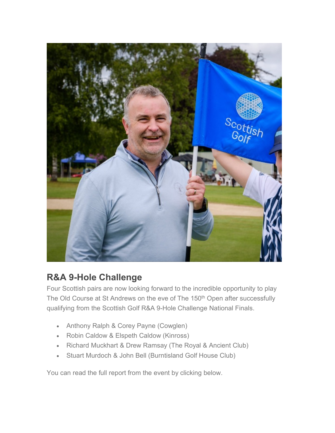

# **R&A 9-Hole Challenge**

Four Scottish pairs are now looking forward to the incredible opportunity to play The Old Course at St Andrews on the eve of The 150<sup>th</sup> Open after successfully qualifying from the Scottish Golf R&A 9-Hole Challenge National Finals.

- Anthony Ralph & Corey Payne (Cowglen)
- Robin Caldow & Elspeth Caldow (Kinross)
- Richard Muckhart & Drew Ramsay (The Royal & Ancient Club)
- Stuart Murdoch & John Bell (Burntisland Golf House Club)

You can read the full report from the event by clicking below.